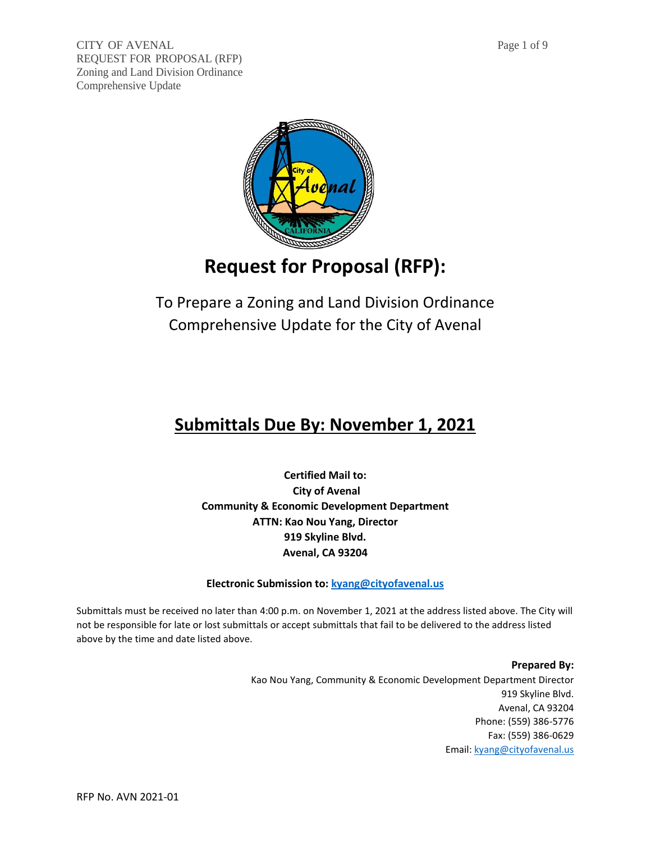

# **Request for Proposal (RFP):**

To Prepare a Zoning and Land Division Ordinance Comprehensive Update for the City of Avenal

# **Submittals Due By: November 1, 2021**

**Certified Mail to: City of Avenal Community & Economic Development Department ATTN: Kao Nou Yang, Director 919 Skyline Blvd. Avenal, CA 93204**

**Electronic Submission to[: kyang@cityofavenal.us](mailto:kyang@cityofavenal.us)**

Submittals must be received no later than 4:00 p.m. on November 1, 2021 at the address listed above. The City will not be responsible for late or lost submittals or accept submittals that fail to be delivered to the address listed above by the time and date listed above.

> **Prepared By:**  Kao Nou Yang, Community & Economic Development Department Director 919 Skyline Blvd. Avenal, CA 93204 Phone: (559) 386-5776 Fax: (559) 386-0629 Email: [kyang@cityofavenal.us](mailto:kyang@cityofavenal.us)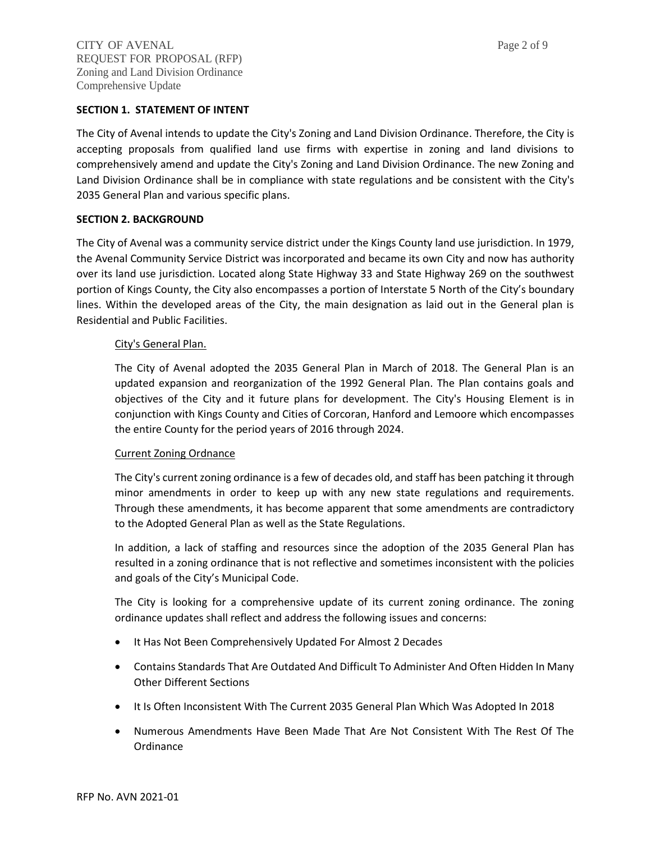#### **SECTION 1. STATEMENT OF INTENT**

The City of Avenal intends to update the City's Zoning and Land Division Ordinance. Therefore, the City is accepting proposals from qualified land use firms with expertise in zoning and land divisions to comprehensively amend and update the City's Zoning and Land Division Ordinance. The new Zoning and Land Division Ordinance shall be in compliance with state regulations and be consistent with the City's 2035 General Plan and various specific plans.

## **SECTION 2. BACKGROUND**

The City of Avenal was a community service district under the Kings County land use jurisdiction. In 1979, the Avenal Community Service District was incorporated and became its own City and now has authority over its land use jurisdiction. Located along State Highway 33 and State Highway 269 on the southwest portion of Kings County, the City also encompasses a portion of Interstate 5 North of the City's boundary lines. Within the developed areas of the City, the main designation as laid out in the General plan is Residential and Public Facilities.

## City's General Plan.

The City of Avenal adopted the 2035 General Plan in March of 2018. The General Plan is an updated expansion and reorganization of the 1992 General Plan. The Plan contains goals and objectives of the City and it future plans for development. The City's Housing Element is in conjunction with Kings County and Cities of Corcoran, Hanford and Lemoore which encompasses the entire County for the period years of 2016 through 2024.

# Current Zoning Ordnance

The City's current zoning ordinance is a few of decades old, and staff has been patching it through minor amendments in order to keep up with any new state regulations and requirements. Through these amendments, it has become apparent that some amendments are contradictory to the Adopted General Plan as well as the State Regulations.

In addition, a lack of staffing and resources since the adoption of the 2035 General Plan has resulted in a zoning ordinance that is not reflective and sometimes inconsistent with the policies and goals of the City's Municipal Code.

The City is looking for a comprehensive update of its current zoning ordinance. The zoning ordinance updates shall reflect and address the following issues and concerns:

- It Has Not Been Comprehensively Updated For Almost 2 Decades
- Contains Standards That Are Outdated And Difficult To Administer And Often Hidden In Many Other Different Sections
- It Is Often Inconsistent With The Current 2035 General Plan Which Was Adopted In 2018
- Numerous Amendments Have Been Made That Are Not Consistent With The Rest Of The Ordinance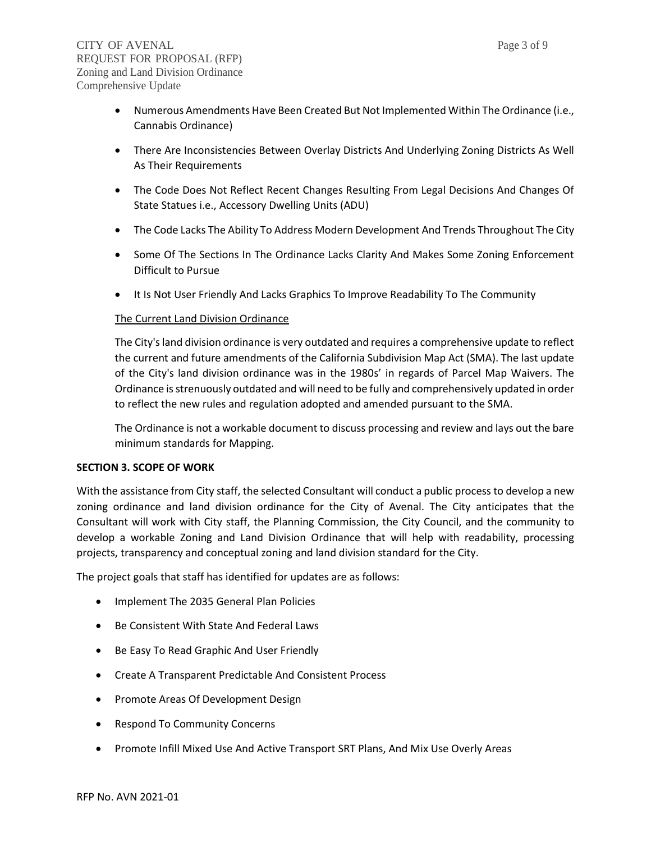- Numerous Amendments Have Been Created But Not Implemented Within The Ordinance (i.e., Cannabis Ordinance)
- There Are Inconsistencies Between Overlay Districts And Underlying Zoning Districts As Well As Their Requirements
- The Code Does Not Reflect Recent Changes Resulting From Legal Decisions And Changes Of State Statues i.e., Accessory Dwelling Units (ADU)
- The Code Lacks The Ability To Address Modern Development And Trends Throughout The City
- Some Of The Sections In The Ordinance Lacks Clarity And Makes Some Zoning Enforcement Difficult to Pursue
- It Is Not User Friendly And Lacks Graphics To Improve Readability To The Community

# The Current Land Division Ordinance

The City's land division ordinance is very outdated and requires a comprehensive update to reflect the current and future amendments of the California Subdivision Map Act (SMA). The last update of the City's land division ordinance was in the 1980s' in regards of Parcel Map Waivers. The Ordinance is strenuously outdated and will need to be fully and comprehensively updated in order to reflect the new rules and regulation adopted and amended pursuant to the SMA.

The Ordinance is not a workable document to discuss processing and review and lays out the bare minimum standards for Mapping.

## **SECTION 3. SCOPE OF WORK**

With the assistance from City staff, the selected Consultant will conduct a public process to develop a new zoning ordinance and land division ordinance for the City of Avenal. The City anticipates that the Consultant will work with City staff, the Planning Commission, the City Council, and the community to develop a workable Zoning and Land Division Ordinance that will help with readability, processing projects, transparency and conceptual zoning and land division standard for the City.

The project goals that staff has identified for updates are as follows:

- Implement The 2035 General Plan Policies
- Be Consistent With State And Federal Laws
- Be Easy To Read Graphic And User Friendly
- Create A Transparent Predictable And Consistent Process
- Promote Areas Of Development Design
- Respond To Community Concerns
- Promote Infill Mixed Use And Active Transport SRT Plans, And Mix Use Overly Areas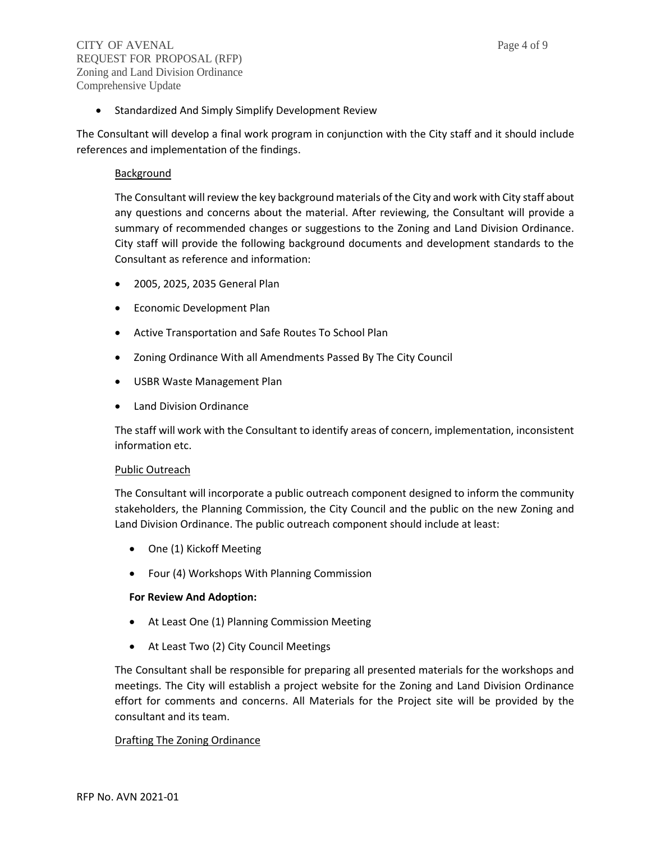• Standardized And Simply Simplify Development Review

The Consultant will develop a final work program in conjunction with the City staff and it should include references and implementation of the findings.

## Background

The Consultant will review the key background materials of the City and work with City staff about any questions and concerns about the material. After reviewing, the Consultant will provide a summary of recommended changes or suggestions to the Zoning and Land Division Ordinance. City staff will provide the following background documents and development standards to the Consultant as reference and information:

- 2005, 2025, 2035 General Plan
- Economic Development Plan
- Active Transportation and Safe Routes To School Plan
- Zoning Ordinance With all Amendments Passed By The City Council
- USBR Waste Management Plan
- Land Division Ordinance

The staff will work with the Consultant to identify areas of concern, implementation, inconsistent information etc.

#### Public Outreach

The Consultant will incorporate a public outreach component designed to inform the community stakeholders, the Planning Commission, the City Council and the public on the new Zoning and Land Division Ordinance. The public outreach component should include at least:

- One (1) Kickoff Meeting
- Four (4) Workshops With Planning Commission

# **For Review And Adoption:**

- At Least One (1) Planning Commission Meeting
- At Least Two (2) City Council Meetings

The Consultant shall be responsible for preparing all presented materials for the workshops and meetings. The City will establish a project website for the Zoning and Land Division Ordinance effort for comments and concerns. All Materials for the Project site will be provided by the consultant and its team.

# Drafting The Zoning Ordinance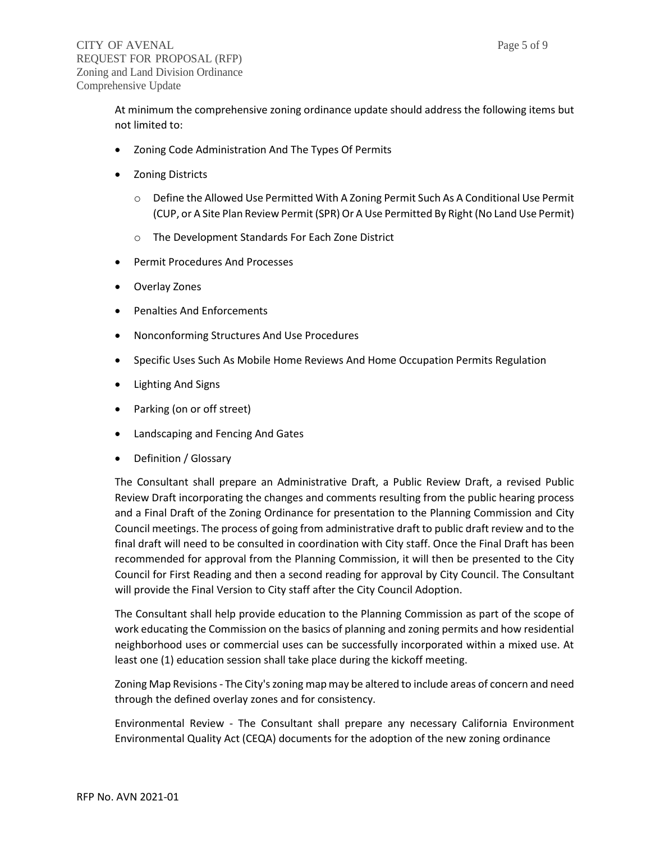At minimum the comprehensive zoning ordinance update should address the following items but not limited to:

- Zoning Code Administration And The Types Of Permits
- Zoning Districts
	- o Define the Allowed Use Permitted With A Zoning Permit Such As A Conditional Use Permit (CUP, or A Site Plan Review Permit (SPR) Or A Use Permitted By Right (No Land Use Permit)
	- o The Development Standards For Each Zone District
- Permit Procedures And Processes
- Overlay Zones
- Penalties And Enforcements
- Nonconforming Structures And Use Procedures
- Specific Uses Such As Mobile Home Reviews And Home Occupation Permits Regulation
- Lighting And Signs
- Parking (on or off street)
- Landscaping and Fencing And Gates
- Definition / Glossary

The Consultant shall prepare an Administrative Draft, a Public Review Draft, a revised Public Review Draft incorporating the changes and comments resulting from the public hearing process and a Final Draft of the Zoning Ordinance for presentation to the Planning Commission and City Council meetings. The process of going from administrative draft to public draft review and to the final draft will need to be consulted in coordination with City staff. Once the Final Draft has been recommended for approval from the Planning Commission, it will then be presented to the City Council for First Reading and then a second reading for approval by City Council. The Consultant will provide the Final Version to City staff after the City Council Adoption.

The Consultant shall help provide education to the Planning Commission as part of the scope of work educating the Commission on the basics of planning and zoning permits and how residential neighborhood uses or commercial uses can be successfully incorporated within a mixed use. At least one (1) education session shall take place during the kickoff meeting.

Zoning Map Revisions- The City's zoning map may be altered to include areas of concern and need through the defined overlay zones and for consistency.

Environmental Review - The Consultant shall prepare any necessary California Environment Environmental Quality Act (CEQA) documents for the adoption of the new zoning ordinance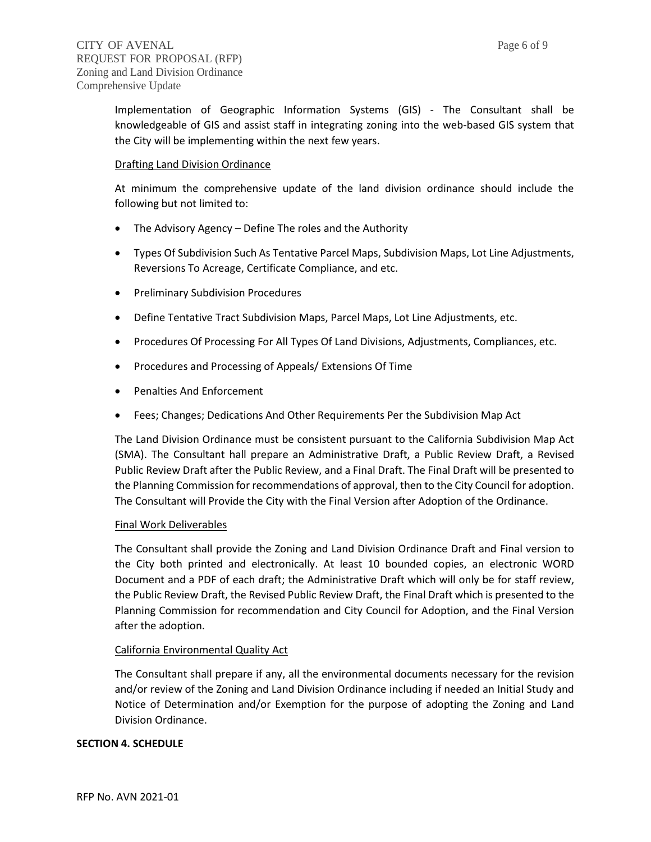Implementation of Geographic Information Systems (GIS) - The Consultant shall be knowledgeable of GIS and assist staff in integrating zoning into the web-based GIS system that the City will be implementing within the next few years.

## Drafting Land Division Ordinance

At minimum the comprehensive update of the land division ordinance should include the following but not limited to:

- The Advisory Agency Define The roles and the Authority
- Types Of Subdivision Such As Tentative Parcel Maps, Subdivision Maps, Lot Line Adjustments, Reversions To Acreage, Certificate Compliance, and etc.
- Preliminary Subdivision Procedures
- Define Tentative Tract Subdivision Maps, Parcel Maps, Lot Line Adjustments, etc.
- Procedures Of Processing For All Types Of Land Divisions, Adjustments, Compliances, etc.
- Procedures and Processing of Appeals/ Extensions Of Time
- Penalties And Enforcement
- Fees; Changes; Dedications And Other Requirements Per the Subdivision Map Act

The Land Division Ordinance must be consistent pursuant to the California Subdivision Map Act (SMA). The Consultant hall prepare an Administrative Draft, a Public Review Draft, a Revised Public Review Draft after the Public Review, and a Final Draft. The Final Draft will be presented to the Planning Commission for recommendations of approval, then to the City Council for adoption. The Consultant will Provide the City with the Final Version after Adoption of the Ordinance.

#### Final Work Deliverables

The Consultant shall provide the Zoning and Land Division Ordinance Draft and Final version to the City both printed and electronically. At least 10 bounded copies, an electronic WORD Document and a PDF of each draft; the Administrative Draft which will only be for staff review, the Public Review Draft, the Revised Public Review Draft, the Final Draft which is presented to the Planning Commission for recommendation and City Council for Adoption, and the Final Version after the adoption.

#### California Environmental Quality Act

The Consultant shall prepare if any, all the environmental documents necessary for the revision and/or review of the Zoning and Land Division Ordinance including if needed an Initial Study and Notice of Determination and/or Exemption for the purpose of adopting the Zoning and Land Division Ordinance.

#### **SECTION 4. SCHEDULE**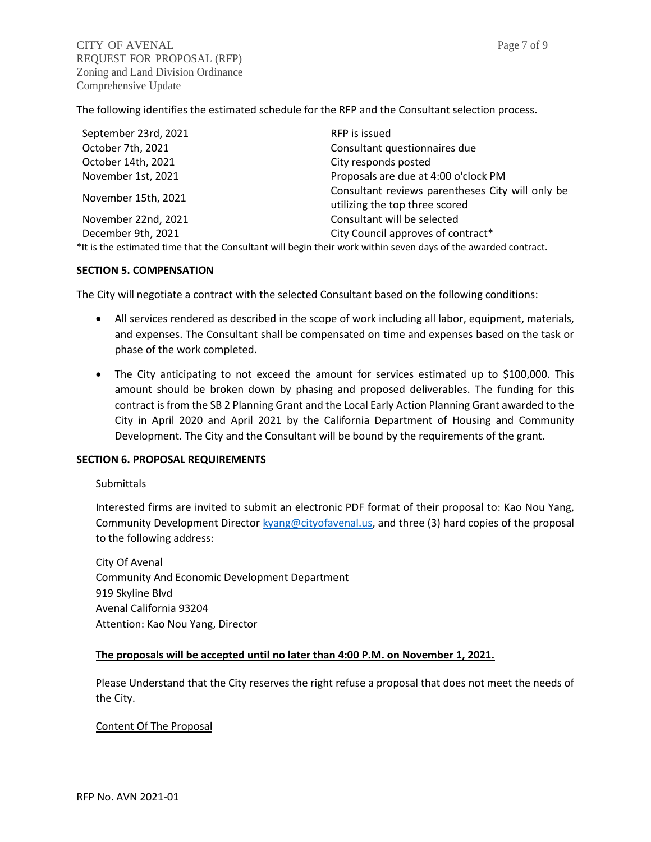The following identifies the estimated schedule for the RFP and the Consultant selection process.

| September 23rd, 2021                                                                                           | RFP is issued                                                                      |
|----------------------------------------------------------------------------------------------------------------|------------------------------------------------------------------------------------|
| October 7th, 2021                                                                                              | Consultant questionnaires due                                                      |
| October 14th, 2021                                                                                             | City responds posted                                                               |
| November 1st, 2021                                                                                             | Proposals are due at 4:00 o'clock PM                                               |
| November 15th, 2021                                                                                            | Consultant reviews parentheses City will only be<br>utilizing the top three scored |
| November 22nd, 2021                                                                                            | Consultant will be selected                                                        |
| December 9th, 2021                                                                                             | City Council approves of contract*                                                 |
| *It is the estimated time that the Consultant will begin their work within seven days of the awarded contract. |                                                                                    |

#### **SECTION 5. COMPENSATION**

The City will negotiate a contract with the selected Consultant based on the following conditions:

- All services rendered as described in the scope of work including all labor, equipment, materials, and expenses. The Consultant shall be compensated on time and expenses based on the task or phase of the work completed.
- The City anticipating to not exceed the amount for services estimated up to \$100,000. This amount should be broken down by phasing and proposed deliverables. The funding for this contract is from the SB 2 Planning Grant and the Local Early Action Planning Grant awarded to the City in April 2020 and April 2021 by the California Department of Housing and Community Development. The City and the Consultant will be bound by the requirements of the grant.

# **SECTION 6. PROPOSAL REQUIREMENTS**

#### **Submittals**

Interested firms are invited to submit an electronic PDF format of their proposal to: Kao Nou Yang, Community Development Director **kyang@cityofavenal.us**, and three (3) hard copies of the proposal to the following address:

City Of Avenal Community And Economic Development Department 919 Skyline Blvd Avenal California 93204 Attention: Kao Nou Yang, Director

# **The proposals will be accepted until no later than 4:00 P.M. on November 1, 2021.**

Please Understand that the City reserves the right refuse a proposal that does not meet the needs of the City.

#### Content Of The Proposal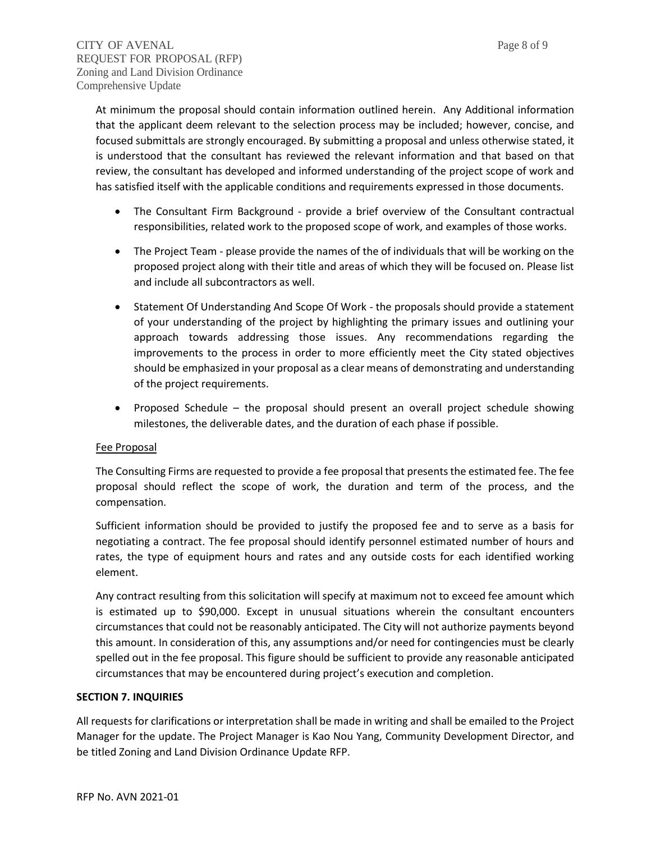At minimum the proposal should contain information outlined herein. Any Additional information that the applicant deem relevant to the selection process may be included; however, concise, and focused submittals are strongly encouraged. By submitting a proposal and unless otherwise stated, it is understood that the consultant has reviewed the relevant information and that based on that review, the consultant has developed and informed understanding of the project scope of work and has satisfied itself with the applicable conditions and requirements expressed in those documents.

- The Consultant Firm Background provide a brief overview of the Consultant contractual responsibilities, related work to the proposed scope of work, and examples of those works.
- The Project Team please provide the names of the of individuals that will be working on the proposed project along with their title and areas of which they will be focused on. Please list and include all subcontractors as well.
- Statement Of Understanding And Scope Of Work the proposals should provide a statement of your understanding of the project by highlighting the primary issues and outlining your approach towards addressing those issues. Any recommendations regarding the improvements to the process in order to more efficiently meet the City stated objectives should be emphasized in your proposal as a clear means of demonstrating and understanding of the project requirements.
- Proposed Schedule the proposal should present an overall project schedule showing milestones, the deliverable dates, and the duration of each phase if possible.

# Fee Proposal

The Consulting Firms are requested to provide a fee proposal that presents the estimated fee. The fee proposal should reflect the scope of work, the duration and term of the process, and the compensation.

Sufficient information should be provided to justify the proposed fee and to serve as a basis for negotiating a contract. The fee proposal should identify personnel estimated number of hours and rates, the type of equipment hours and rates and any outside costs for each identified working element.

Any contract resulting from this solicitation will specify at maximum not to exceed fee amount which is estimated up to \$90,000. Except in unusual situations wherein the consultant encounters circumstances that could not be reasonably anticipated. The City will not authorize payments beyond this amount. In consideration of this, any assumptions and/or need for contingencies must be clearly spelled out in the fee proposal. This figure should be sufficient to provide any reasonable anticipated circumstances that may be encountered during project's execution and completion.

#### **SECTION 7. INQUIRIES**

All requests for clarifications or interpretation shall be made in writing and shall be emailed to the Project Manager for the update. The Project Manager is Kao Nou Yang, Community Development Director, and be titled Zoning and Land Division Ordinance Update RFP.